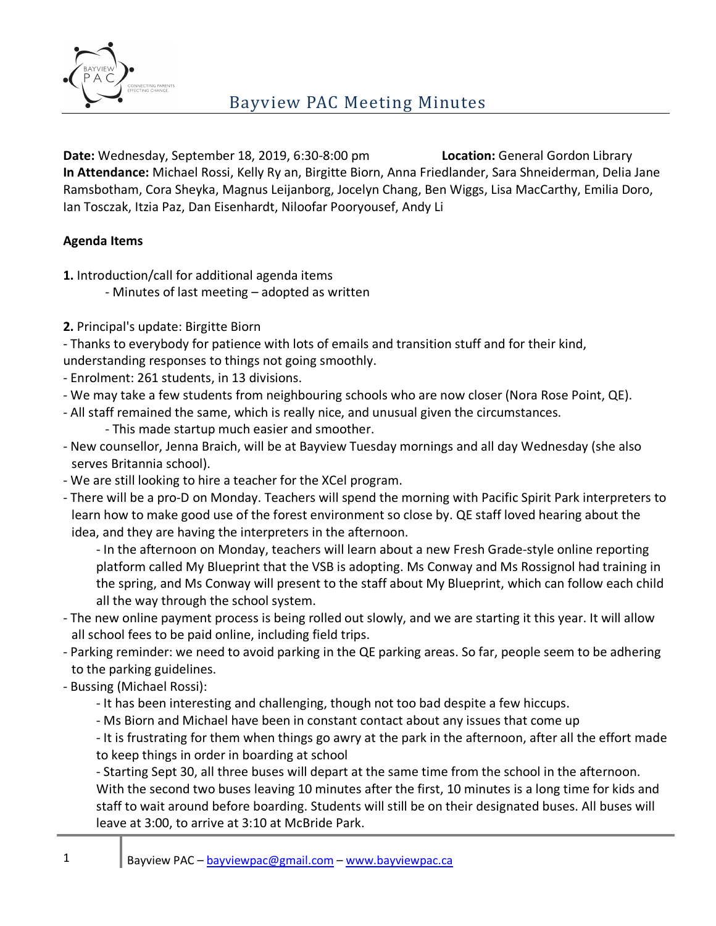

**Date:** Wednesday, September 18, 2019, 6:30-8:00 pm **Location:** General Gordon Library **In Attendance:** Michael Rossi, Kelly Ry an, Birgitte Biorn, Anna Friedlander, Sara Shneiderman, Delia Jane Ramsbotham, Cora Sheyka, Magnus Leijanborg, Jocelyn Chang, Ben Wiggs, Lisa MacCarthy, Emilia Doro, Ian Tosczak, Itzia Paz, Dan Eisenhardt, Niloofar Pooryousef, Andy Li

### **Agenda Items**

- **1.** Introduction/call for additional agenda items
	- Minutes of last meeting adopted as written
- **2.** Principal's update: Birgitte Biorn

- Thanks to everybody for patience with lots of emails and transition stuff and for their kind, understanding responses to things not going smoothly.

- Enrolment: 261 students, in 13 divisions.
- We may take a few students from neighbouring schools who are now closer (Nora Rose Point, QE).
- All staff remained the same, which is really nice, and unusual given the circumstances.
	- This made startup much easier and smoother.
- New counsellor, Jenna Braich, will be at Bayview Tuesday mornings and all day Wednesday (she also serves Britannia school).
- We are still looking to hire a teacher for the XCel program.
- There will be a pro-D on Monday. Teachers will spend the morning with Pacific Spirit Park interpreters to learn how to make good use of the forest environment so close by. QE staff loved hearing about the idea, and they are having the interpreters in the afternoon.
	- In the afternoon on Monday, teachers will learn about a new Fresh Grade-style online reporting platform called My Blueprint that the VSB is adopting. Ms Conway and Ms Rossignol had training in the spring, and Ms Conway will present to the staff about My Blueprint, which can follow each child all the way through the school system.
- The new online payment process is being rolled out slowly, and we are starting it this year. It will allow all school fees to be paid online, including field trips.
- Parking reminder: we need to avoid parking in the QE parking areas. So far, people seem to be adhering to the parking guidelines.
- Bussing (Michael Rossi):
	- It has been interesting and challenging, though not too bad despite a few hiccups.
	- Ms Biorn and Michael have been in constant contact about any issues that come up

- It is frustrating for them when things go awry at the park in the afternoon, after all the effort made to keep things in order in boarding at school

- Starting Sept 30, all three buses will depart at the same time from the school in the afternoon. With the second two buses leaving 10 minutes after the first, 10 minutes is a long time for kids and staff to wait around before boarding. Students will still be on their designated buses. All buses will leave at 3:00, to arrive at 3:10 at McBride Park.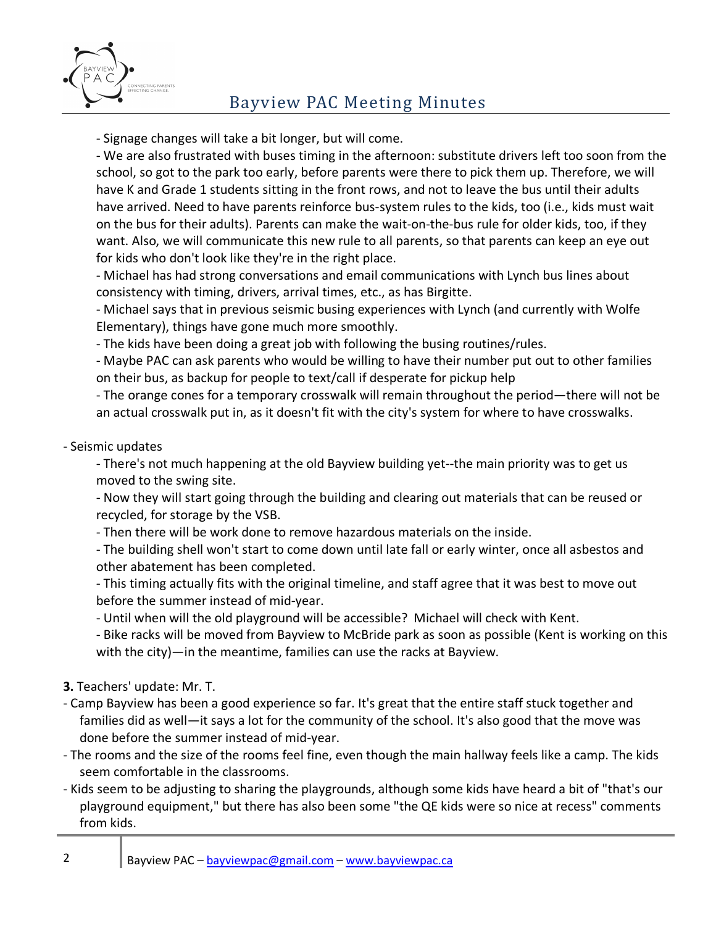

# Bayview PAC Meeting Minutes

- Signage changes will take a bit longer, but will come.

- We are also frustrated with buses timing in the afternoon: substitute drivers left too soon from the school, so got to the park too early, before parents were there to pick them up. Therefore, we will have K and Grade 1 students sitting in the front rows, and not to leave the bus until their adults have arrived. Need to have parents reinforce bus-system rules to the kids, too (i.e., kids must wait on the bus for their adults). Parents can make the wait-on-the-bus rule for older kids, too, if they want. Also, we will communicate this new rule to all parents, so that parents can keep an eye out for kids who don't look like they're in the right place.

- Michael has had strong conversations and email communications with Lynch bus lines about consistency with timing, drivers, arrival times, etc., as has Birgitte.

- Michael says that in previous seismic busing experiences with Lynch (and currently with Wolfe Elementary), things have gone much more smoothly.

- The kids have been doing a great job with following the busing routines/rules.

- Maybe PAC can ask parents who would be willing to have their number put out to other families on their bus, as backup for people to text/call if desperate for pickup help

- The orange cones for a temporary crosswalk will remain throughout the period—there will not be an actual crosswalk put in, as it doesn't fit with the city's system for where to have crosswalks.

### - Seismic updates

- There's not much happening at the old Bayview building yet--the main priority was to get us moved to the swing site.

- Now they will start going through the building and clearing out materials that can be reused or recycled, for storage by the VSB.

- Then there will be work done to remove hazardous materials on the inside.

- The building shell won't start to come down until late fall or early winter, once all asbestos and other abatement has been completed.

- This timing actually fits with the original timeline, and staff agree that it was best to move out before the summer instead of mid-year.

- Until when will the old playground will be accessible? Michael will check with Kent.

- Bike racks will be moved from Bayview to McBride park as soon as possible (Kent is working on this with the city)—in the meantime, families can use the racks at Bayview.

#### **3.** Teachers' update: Mr. T.

- Camp Bayview has been a good experience so far. It's great that the entire staff stuck together and families did as well—it says a lot for the community of the school. It's also good that the move was done before the summer instead of mid-year.
- The rooms and the size of the rooms feel fine, even though the main hallway feels like a camp. The kids seem comfortable in the classrooms.
- Kids seem to be adjusting to sharing the playgrounds, although some kids have heard a bit of "that's our playground equipment," but there has also been some "the QE kids were so nice at recess" comments from kids.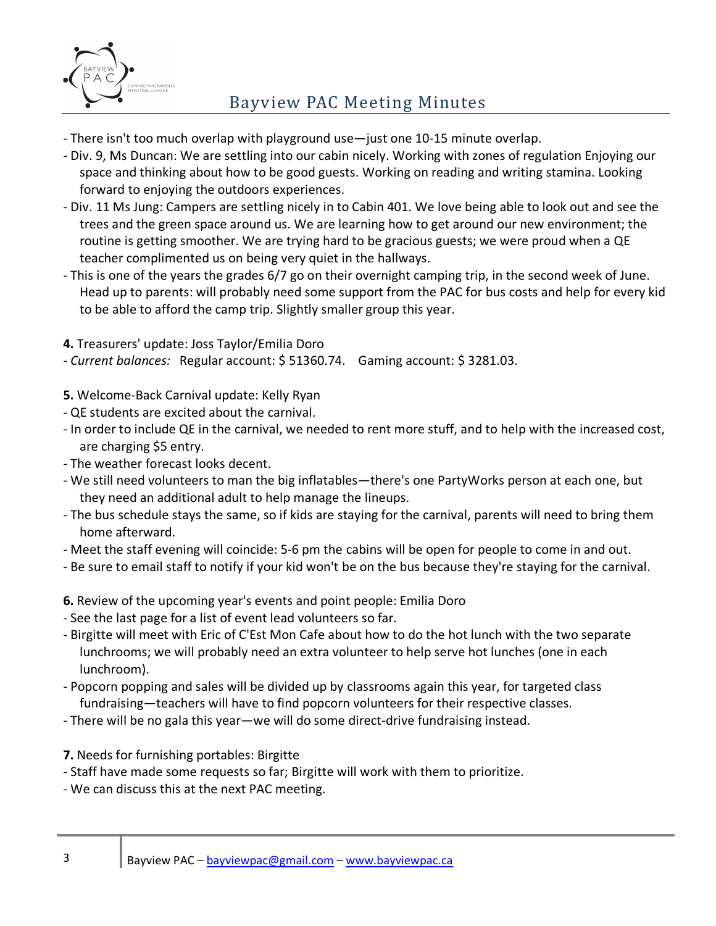

# Bayview PAC Meeting Minutes

- There isn't too much overlap with playground use—just one 10-15 minute overlap.
- Div. 9, Ms Duncan: We are settling into our cabin nicely. Working with zones of regulation Enjoying our space and thinking about how to be good guests. Working on reading and writing stamina. Looking forward to enjoying the outdoors experiences.
- Div. 11 Ms Jung: Campers are settling nicely in to Cabin 401. We love being able to look out and see the trees and the green space around us. We are learning how to get around our new environment; the routine is getting smoother. We are trying hard to be gracious guests; we were proud when a QE teacher complimented us on being very quiet in the hallways.
- This is one of the years the grades 6/7 go on their overnight camping trip, in the second week of June. Head up to parents: will probably need some support from the PAC for bus costs and help for every kid to be able to afford the camp trip. Slightly smaller group this year.
- **4.** Treasurers' update: Joss Taylor/Emilia Doro
- *Current balances:* Regular account: \$ 51360.74. Gaming account: \$ 3281.03.
- **5.** Welcome-Back Carnival update: Kelly Ryan
- QE students are excited about the carnival.
- In order to include QE in the carnival, we needed to rent more stuff, and to help with the increased cost, are charging \$5 entry.
- The weather forecast looks decent.
- We still need volunteers to man the big inflatables—there's one PartyWorks person at each one, but they need an additional adult to help manage the lineups.
- The bus schedule stays the same, so if kids are staying for the carnival, parents will need to bring them home afterward.
- Meet the staff evening will coincide: 5-6 pm the cabins will be open for people to come in and out.
- Be sure to email staff to notify if your kid won't be on the bus because they're staying for the carnival.
- **6.** Review of the upcoming year's events and point people: Emilia Doro
- See the last page for a list of event lead volunteers so far.
- Birgitte will meet with Eric of C'Est Mon Cafe about how to do the hot lunch with the two separate lunchrooms; we will probably need an extra volunteer to help serve hot lunches (one in each lunchroom).
- Popcorn popping and sales will be divided up by classrooms again this year, for targeted class fundraising—teachers will have to find popcorn volunteers for their respective classes.
- There will be no gala this year—we will do some direct-drive fundraising instead.
- **7.** Needs for furnishing portables: Birgitte
- Staff have made some requests so far; Birgitte will work with them to prioritize.
- We can discuss this at the next PAC meeting.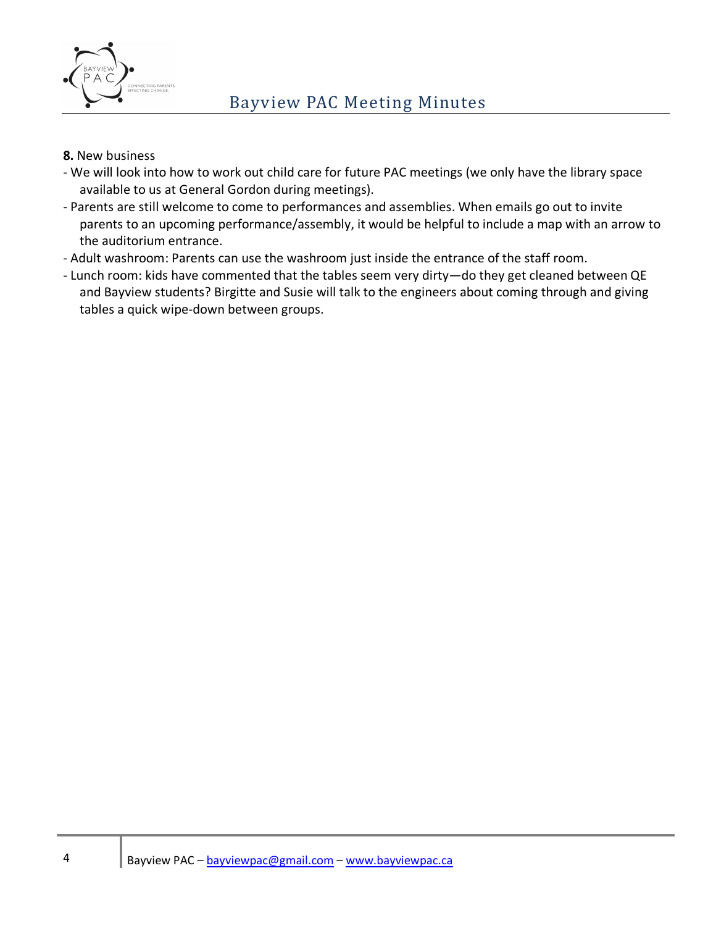

#### **8.** New business

- We will look into how to work out child care for future PAC meetings (we only have the library space available to us at General Gordon during meetings).
- Parents are still welcome to come to performances and assemblies. When emails go out to invite parents to an upcoming performance/assembly, it would be helpful to include a map with an arrow to the auditorium entrance.
- Adult washroom: Parents can use the washroom just inside the entrance of the staff room.
- Lunch room: kids have commented that the tables seem very dirty—do they get cleaned between QE and Bayview students? Birgitte and Susie will talk to the engineers about coming through and giving tables a quick wipe-down between groups.